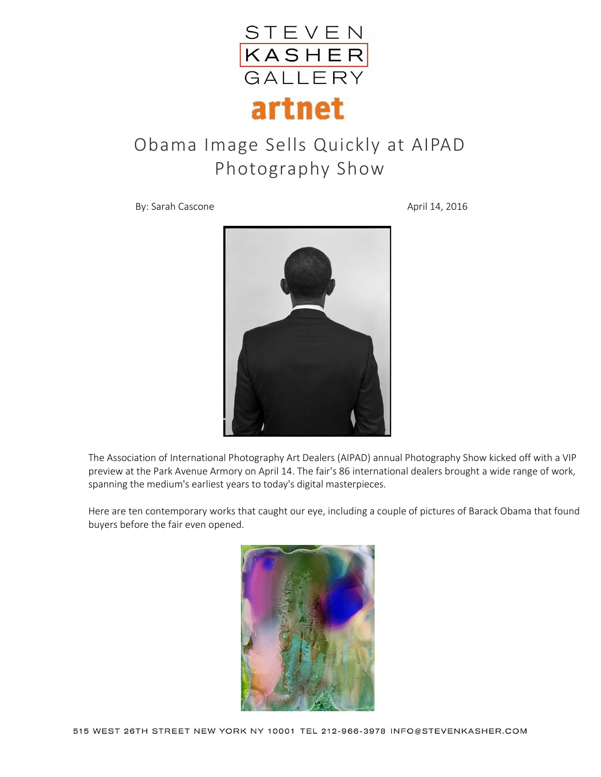

## Obama Image Sells Quickly at AIPAD Photography Show

By: Sarah Cascone April 14, 2016



The Association of International Photography Art Dealers (AIPAD) annual Photography Show kicked off with a VIP preview at the Park Avenue Armory on April 14. The fair's 86 international dealers brought a wide range of work, spanning the medium's earliest years to today's digital masterpieces.

Here are ten contemporary works that caught our eye, including a couple of pictures of Barack Obama that found buyers before the fair even opened.

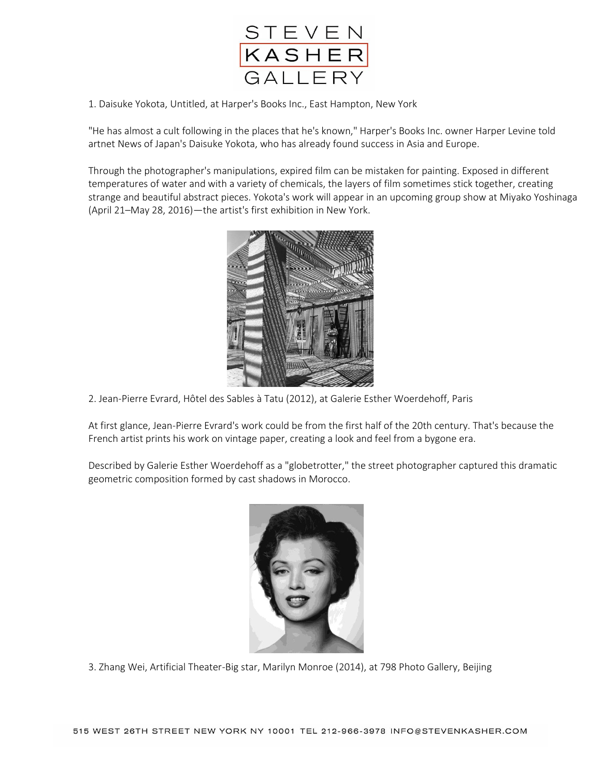

1. Daisuke Yokota, Untitled, at Harper's Books Inc., East Hampton, New York

"He has almost a cult following in the places that he's known," Harper's Books Inc. owner Harper Levine told artnet News of Japan's Daisuke Yokota, who has already found success in Asia and Europe.

Through the photographer's manipulations, expired film can be mistaken for painting. Exposed in different temperatures of water and with a variety of chemicals, the layers of film sometimes stick together, creating strange and beautiful abstract pieces. Yokota's work will appear in an upcoming group show at Miyako Yoshinaga (April 21–May 28, 2016)—the artist's first exhibition in New York.



2. Jean-Pierre Evrard, Hôtel des Sables à Tatu (2012), at Galerie Esther Woerdehoff, Paris

At first glance, Jean-Pierre Evrard's work could be from the first half of the 20th century. That's because the French artist prints his work on vintage paper, creating a look and feel from a bygone era.

Described by Galerie Esther Woerdehoff as a "globetrotter," the street photographer captured this dramatic geometric composition formed by cast shadows in Morocco.



3. Zhang Wei, Artificial Theater-Big star, Marilyn Monroe (2014), at 798 Photo Gallery, Beijing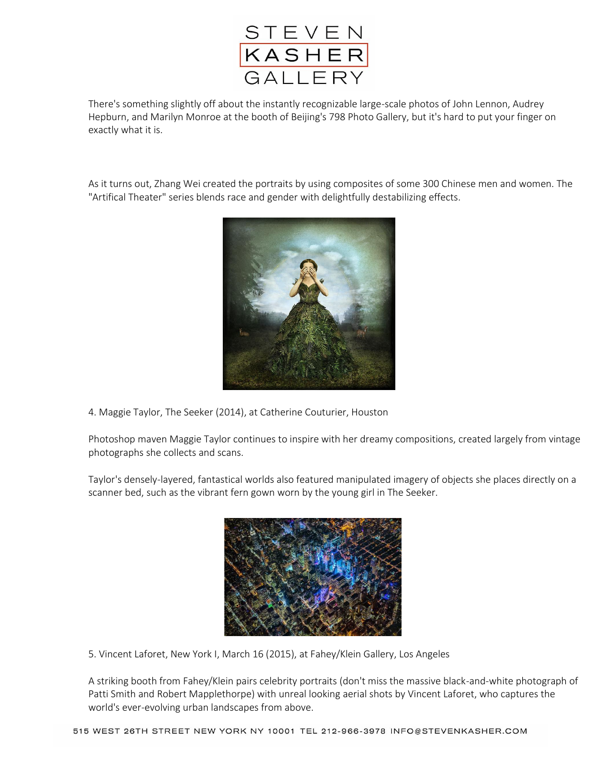

There's something slightly off about the instantly recognizable large-scale photos of John Lennon, Audrey Hepburn, and Marilyn Monroe at the booth of Beijing's 798 Photo Gallery, but it's hard to put your finger on exactly what it is.

As it turns out, Zhang Wei created the portraits by using composites of some 300 Chinese men and women. The "Artifical Theater" series blends race and gender with delightfully destabilizing effects.



4. Maggie Taylor, The Seeker (2014), at Catherine Couturier, Houston

Photoshop maven Maggie Taylor continues to inspire with her dreamy compositions, created largely from vintage photographs she collects and scans.

Taylor's densely-layered, fantastical worlds also featured manipulated imagery of objects she places directly on a scanner bed, such as the vibrant fern gown worn by the young girl in The Seeker.



5. Vincent Laforet, New York I, March 16 (2015), at Fahey/Klein Gallery, Los Angeles

A striking booth from Fahey/Klein pairs celebrity portraits (don't miss the massive black-and-white photograph of Patti Smith and Robert Mapplethorpe) with unreal looking aerial shots by Vincent Laforet, who captures the world's ever-evolving urban landscapes from above.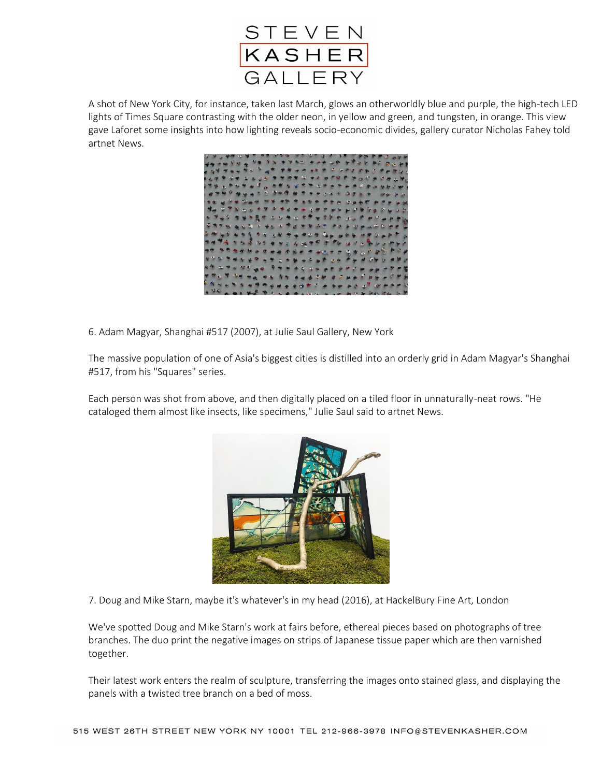

A shot of New York City, for instance, taken last March, glows an otherworldly blue and purple, the high-tech LED lights of Times Square contrasting with the older neon, in yellow and green, and tungsten, in orange. This view gave Laforet some insights into how lighting reveals socio-economic divides, gallery curator Nicholas Fahey told artnet News.



6. Adam Magyar, Shanghai #517 (2007), at Julie Saul Gallery, New York

The massive population of one of Asia's biggest cities is distilled into an orderly grid in Adam Magyar's Shanghai #517, from his "Squares" series.

Each person was shot from above, and then digitally placed on a tiled floor in unnaturally-neat rows. "He cataloged them almost like insects, like specimens," Julie Saul said to artnet News.



7. Doug and Mike Starn, maybe it's whatever's in my head (2016), at HackelBury Fine Art, London

We've spotted Doug and Mike Starn's work at fairs before, ethereal pieces based on photographs of tree branches. The duo print the negative images on strips of Japanese tissue paper which are then varnished together.

Their latest work enters the realm of sculpture, transferring the images onto stained glass, and displaying the panels with a twisted tree branch on a bed of moss.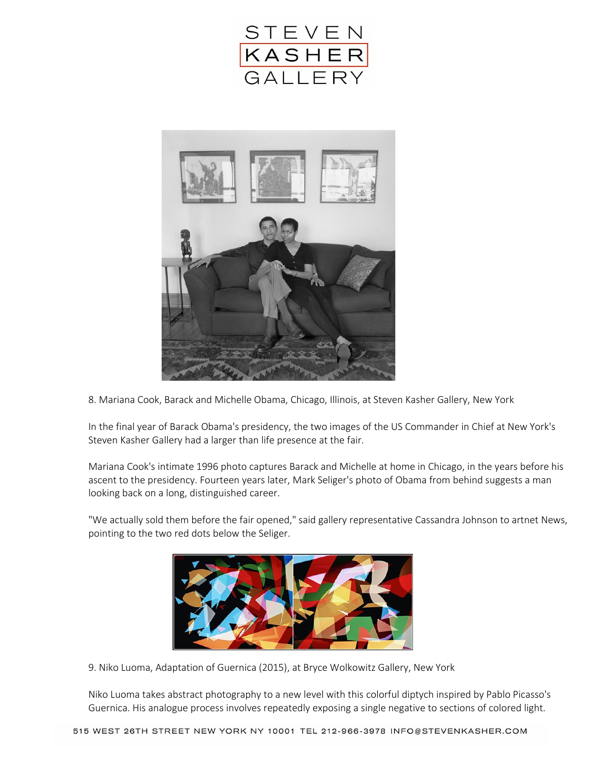



8. Mariana Cook, Barack and Michelle Obama, Chicago, Illinois, at Steven Kasher Gallery, New York

In the final year of Barack Obama's presidency, the two images of the US Commander in Chief at New York's Steven Kasher Gallery had a larger than life presence at the fair.

Mariana Cook's intimate 1996 photo captures Barack and Michelle at home in Chicago, in the years before his ascent to the presidency. Fourteen years later, Mark Seliger's photo of Obama from behind suggests a man looking back on a long, distinguished career.

"We actually sold them before the fair opened," said gallery representative Cassandra Johnson to artnet News, pointing to the two red dots below the Seliger.



9. Niko Luoma, Adaptation of Guernica (2015), at Bryce Wolkowitz Gallery, New York

Niko Luoma takes abstract photography to a new level with this colorful diptych inspired by Pablo Picasso's Guernica. His analogue process involves repeatedly exposing a single negative to sections of colored light.

515 WEST 26TH STREET NEW YORK NY 10001 TEL 212-966-3978 INFO@STEVENKASHER.COM